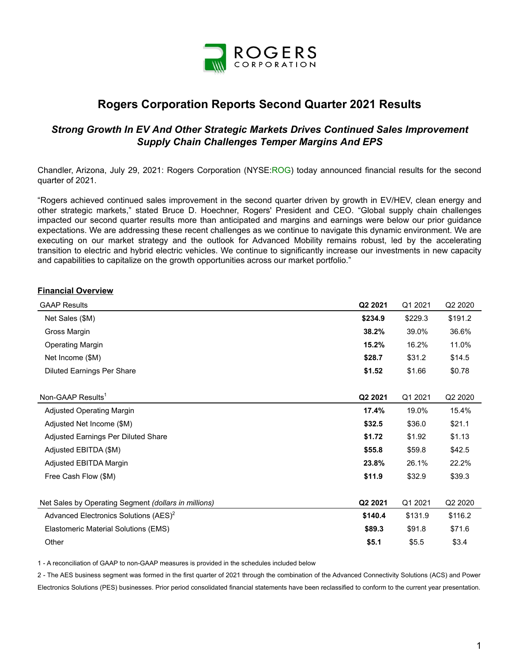

# **Rogers Corporation Reports Second Quarter 2021 Results**

## *Strong Growth In EV And Other Strategic Markets Drives Continued Sales Improvement Supply Chain Challenges Temper Margins And EPS*

Chandler, Arizona, July 29, 2021: Rogers Corporation (NYSE:ROG) today announced financial results for the second quarter of 2021.

"Rogers achieved continued sales improvement in the second quarter driven by growth in EV/HEV, clean energy and other strategic markets," stated Bruce D. Hoechner, Rogers' President and CEO. "Global supply chain challenges impacted our second quarter results more than anticipated and margins and earnings were below our prior guidance expectations. We are addressing these recent challenges as we continue to navigate this dynamic environment. We are executing on our market strategy and the outlook for Advanced Mobility remains robust, led by the accelerating transition to electric and hybrid electric vehicles. We continue to significantly increase our investments in new capacity and capabilities to capitalize on the growth opportunities across our market portfolio."

#### **Financial Overview**

| <b>GAAP Results</b>                                  | Q2 2021 | Q1 2021 | Q2 2020 |
|------------------------------------------------------|---------|---------|---------|
| Net Sales (\$M)                                      | \$234.9 | \$229.3 | \$191.2 |
| Gross Margin                                         | 38.2%   | 39.0%   | 36.6%   |
| <b>Operating Margin</b>                              | 15.2%   | 16.2%   | 11.0%   |
| Net Income (\$M)                                     | \$28.7  | \$31.2  | \$14.5  |
| <b>Diluted Earnings Per Share</b>                    | \$1.52  | \$1.66  | \$0.78  |
| Non-GAAP Results <sup>1</sup>                        | Q2 2021 | Q1 2021 | Q2 2020 |
| <b>Adjusted Operating Margin</b>                     | 17.4%   | 19.0%   | 15.4%   |
| Adjusted Net Income (\$M)                            | \$32.5  | \$36.0  | \$21.1  |
| Adjusted Earnings Per Diluted Share                  | \$1.72  | \$1.92  | \$1.13  |
| Adjusted EBITDA (\$M)                                | \$55.8  | \$59.8  | \$42.5  |
| Adjusted EBITDA Margin                               | 23.8%   | 26.1%   | 22.2%   |
| Free Cash Flow (\$M)                                 | \$11.9  | \$32.9  | \$39.3  |
| Net Sales by Operating Segment (dollars in millions) | Q2 2021 | Q1 2021 | Q2 2020 |
| Advanced Electronics Solutions (AES) <sup>2</sup>    | \$140.4 | \$131.9 | \$116.2 |
| Elastomeric Material Solutions (EMS)                 | \$89.3  | \$91.8  | \$71.6  |
| Other                                                | \$5.1   | \$5.5   | \$3.4   |

1 - A reconciliation of GAAP to non-GAAP measures is provided in the schedules included below

2 - The AES business segment was formed in the first quarter of 2021 through the combination of the Advanced Connectivity Solutions (ACS) and Power Electronics Solutions (PES) businesses. Prior period consolidated financial statements have been reclassified to conform to the current year presentation.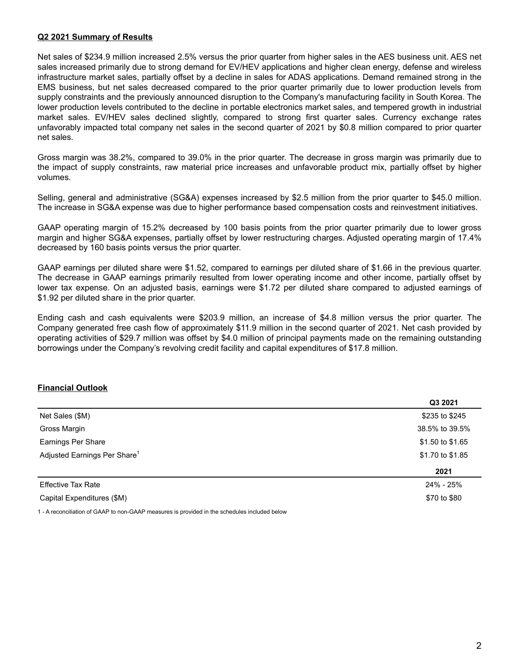#### **Q2 2021 Summary of Results**

Net sales of \$234.9 million increased 2.5% versus the prior quarter from higher sales in the AES business unit. AES net sales increased primarily due to strong demand for EV/HEV applications and higher clean energy, defense and wireless infrastructure market sales, partially offset by a decline in sales for ADAS applications. Demand remained strong in the EMS business, but net sales decreased compared to the prior quarter primarily due to lower production levels from supply constraints and the previously announced disruption to the Company's manufacturing facility in South Korea. The lower production levels contributed to the decline in portable electronics market sales, and tempered growth in industrial market sales. EV/HEV sales declined slightly, compared to strong first quarter sales. Currency exchange rates unfavorably impacted total company net sales in the second quarter of 2021 by \$0.8 million compared to prior quarter net sales.

Gross margin was 38.2%, compared to 39.0% in the prior quarter. The decrease in gross margin was primarily due to the impact of supply constraints, raw material price increases and unfavorable product mix, partially offset by higher volumes.

Selling, general and administrative (SG&A) expenses increased by \$2.5 million from the prior quarter to \$45.0 million. The increase in SG&A expense was due to higher performance based compensation costs and reinvestment initiatives.

GAAP operating margin of 15.2% decreased by 100 basis points from the prior quarter primarily due to lower gross margin and higher SG&A expenses, partially offset by lower restructuring charges. Adjusted operating margin of 17.4% decreased by 160 basis points versus the prior quarter.

GAAP earnings per diluted share were \$1.52, compared to earnings per diluted share of \$1.66 in the previous quarter. The decrease in GAAP earnings primarily resulted from lower operating income and other income, partially offset by lower tax expense. On an adjusted basis, earnings were \$1.72 per diluted share compared to adjusted earnings of \$1.92 per diluted share in the prior quarter.

Ending cash and cash equivalents were \$203.9 million, an increase of \$4.8 million versus the prior quarter. The Company generated free cash flow of approximately \$11.9 million in the second quarter of 2021. Net cash provided by operating activities of \$29.7 million was offset by \$4.0 million of principal payments made on the remaining outstanding borrowings under the Company's revolving credit facility and capital expenditures of \$17.8 million.

#### **Financial Outlook**

|                                          | Q3 2021          |
|------------------------------------------|------------------|
| Net Sales (\$M)                          | \$235 to \$245   |
| Gross Margin                             | 38.5% to 39.5%   |
| Earnings Per Share                       | \$1.50 to \$1.65 |
| Adjusted Earnings Per Share <sup>1</sup> | \$1.70 to \$1.85 |
|                                          | 2021             |
| <b>Effective Tax Rate</b>                | 24% - 25%        |
| Capital Expenditures (\$M)               | \$70 to \$80     |
|                                          |                  |

1 - A reconciliation of GAAP to non-GAAP measures is provided in the schedules included below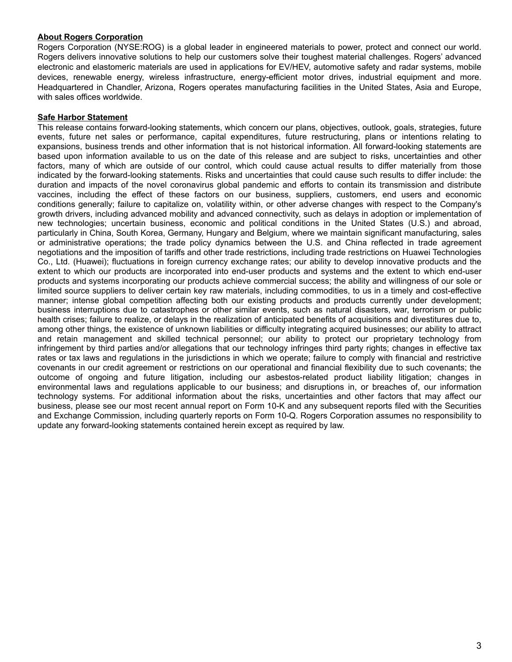#### **About Rogers Corporation**

Rogers Corporation (NYSE:ROG) is a global leader in engineered materials to power, protect and connect our world. Rogers delivers innovative solutions to help our customers solve their toughest material challenges. Rogers' advanced electronic and elastomeric materials are used in applications for EV/HEV, automotive safety and radar systems, mobile devices, renewable energy, wireless infrastructure, energy-efficient motor drives, industrial equipment and more. Headquartered in Chandler, Arizona, Rogers operates manufacturing facilities in the United States, Asia and Europe, with sales offices worldwide.

#### **Safe Harbor Statement**

This release contains forward-looking statements, which concern our plans, objectives, outlook, goals, strategies, future events, future net sales or performance, capital expenditures, future restructuring, plans or intentions relating to expansions, business trends and other information that is not historical information. All forward-looking statements are based upon information available to us on the date of this release and are subject to risks, uncertainties and other factors, many of which are outside of our control, which could cause actual results to differ materially from those indicated by the forward-looking statements. Risks and uncertainties that could cause such results to differ include: the duration and impacts of the novel coronavirus global pandemic and efforts to contain its transmission and distribute vaccines, including the effect of these factors on our business, suppliers, customers, end users and economic conditions generally; failure to capitalize on, volatility within, or other adverse changes with respect to the Company's growth drivers, including advanced mobility and advanced connectivity, such as delays in adoption or implementation of new technologies; uncertain business, economic and political conditions in the United States (U.S.) and abroad, particularly in China, South Korea, Germany, Hungary and Belgium, where we maintain significant manufacturing, sales or administrative operations; the trade policy dynamics between the U.S. and China reflected in trade agreement negotiations and the imposition of tariffs and other trade restrictions, including trade restrictions on Huawei Technologies Co., Ltd. (Huawei); fluctuations in foreign currency exchange rates; our ability to develop innovative products and the extent to which our products are incorporated into end-user products and systems and the extent to which end-user products and systems incorporating our products achieve commercial success; the ability and willingness of our sole or limited source suppliers to deliver certain key raw materials, including commodities, to us in a timely and cost-effective manner; intense global competition affecting both our existing products and products currently under development; business interruptions due to catastrophes or other similar events, such as natural disasters, war, terrorism or public health crises; failure to realize, or delays in the realization of anticipated benefits of acquisitions and divestitures due to, among other things, the existence of unknown liabilities or difficulty integrating acquired businesses; our ability to attract and retain management and skilled technical personnel; our ability to protect our proprietary technology from infringement by third parties and/or allegations that our technology infringes third party rights; changes in effective tax rates or tax laws and regulations in the jurisdictions in which we operate; failure to comply with financial and restrictive covenants in our credit agreement or restrictions on our operational and financial flexibility due to such covenants; the outcome of ongoing and future litigation, including our asbestos-related product liability litigation; changes in environmental laws and regulations applicable to our business; and disruptions in, or breaches of, our information technology systems. For additional information about the risks, uncertainties and other factors that may affect our business, please see our most recent annual report on Form 10-K and any subsequent reports filed with the Securities and Exchange Commission, including quarterly reports on Form 10-Q. Rogers Corporation assumes no responsibility to update any forward-looking statements contained herein except as required by law.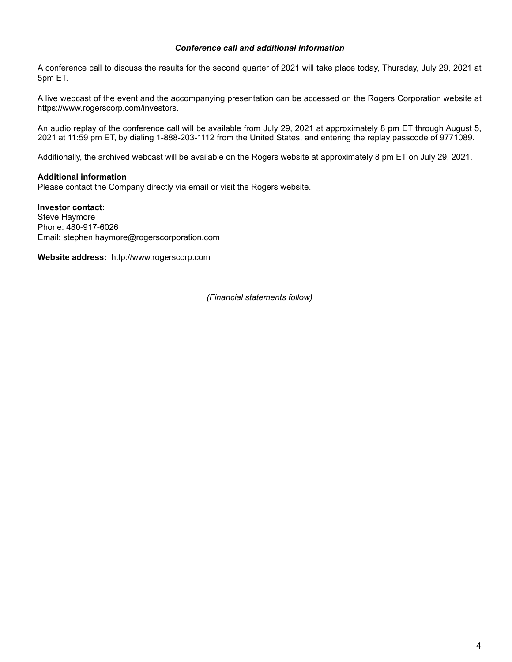#### *Conference call and additional information*

A conference call to discuss the results for the second quarter of 2021 will take place today, Thursday, July 29, 2021 at 5pm ET.

A live webcast of the event and the accompanying presentation can be accessed on the Rogers Corporation website at https://www.rogerscorp.com/investors.

An audio replay of the conference call will be available from July 29, 2021 at approximately 8 pm ET through August 5, 2021 at 11:59 pm ET, by dialing 1-888-203-1112 from the United States, and entering the replay passcode of 9771089.

Additionally, the archived webcast will be available on the Rogers website at approximately 8 pm ET on July 29, 2021.

#### **Additional information**

Please contact the Company directly via email or visit the Rogers website.

**Investor contact:**  Steve Haymore Phone: 480-917-6026 Email: stephen.haymore@rogerscorporation.com

**Website address:** http://www.rogerscorp.com

*(Financial statements follow)*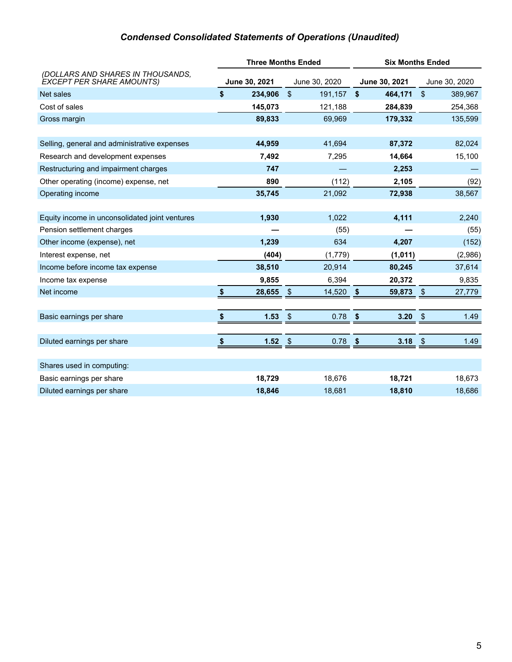# *Condensed Consolidated Statements of Operations (Unaudited)*

|                                                                       |               | <b>Three Months Ended</b> | <b>Six Months Ended</b> |               |                         |               |
|-----------------------------------------------------------------------|---------------|---------------------------|-------------------------|---------------|-------------------------|---------------|
| (DOLLARS AND SHARES IN THOUSANDS,<br><b>EXCEPT PER SHARE AMOUNTS)</b> | June 30, 2021 | June 30, 2020             |                         | June 30, 2021 |                         | June 30, 2020 |
| Net sales                                                             | \$<br>234,906 | $\frac{1}{2}$<br>191,157  | \$                      | 464,171       | $\sqrt[6]{\frac{1}{2}}$ | 389,967       |
| Cost of sales                                                         | 145,073       | 121,188                   |                         | 284,839       |                         | 254,368       |
| Gross margin                                                          | 89,833        | 69,969                    |                         | 179,332       |                         | 135,599       |
|                                                                       |               |                           |                         |               |                         |               |
| Selling, general and administrative expenses                          | 44,959        | 41,694                    |                         | 87,372        |                         | 82,024        |
| Research and development expenses                                     | 7,492         | 7,295                     |                         | 14,664        |                         | 15,100        |
| Restructuring and impairment charges                                  | 747           | 2,253                     |                         |               |                         |               |
| Other operating (income) expense, net                                 | 890           | (112)                     |                         | 2,105         |                         | (92)          |
| Operating income                                                      | 35,745        | 21,092                    |                         | 72,938        |                         | 38,567        |
|                                                                       |               |                           |                         |               |                         |               |
| Equity income in unconsolidated joint ventures                        | 1,930         | 1,022                     |                         | 4,111         |                         | 2,240         |
| Pension settlement charges                                            |               | (55)                      |                         |               |                         | (55)          |
| Other income (expense), net                                           | 1,239         | 634                       |                         | 4,207         |                         | (152)         |
| Interest expense, net                                                 | (404)         | (1,779)                   |                         | (1,011)       |                         | (2,986)       |
| Income before income tax expense                                      | 38,510        | 20,914                    |                         | 80,245        |                         | 37,614        |
| Income tax expense                                                    | 9,855         | 6,394                     |                         | 20,372        |                         | 9,835         |
| Net income                                                            | \$<br>28,655  | $\sqrt[6]{3}$<br>14,520   | \$                      | 59,873        | $\sqrt[6]{3}$           | 27,779        |
|                                                                       |               |                           |                         |               |                         |               |
| Basic earnings per share                                              | 1.53          | $\frac{1}{2}$<br>0.78     | \$                      | 3.20          | \$                      | 1.49          |
|                                                                       |               |                           |                         |               |                         |               |
| Diluted earnings per share                                            | \$<br>1.52    | $\sqrt{3}$<br>0.78        | \$                      | 3.18          | -\$                     | 1.49          |
|                                                                       |               |                           |                         |               |                         |               |
| Shares used in computing:                                             |               |                           |                         |               |                         |               |
| Basic earnings per share                                              | 18,729        | 18,676                    |                         | 18,721        |                         | 18,673        |
| Diluted earnings per share                                            | 18,846        | 18,681                    |                         | 18,810        |                         | 18,686        |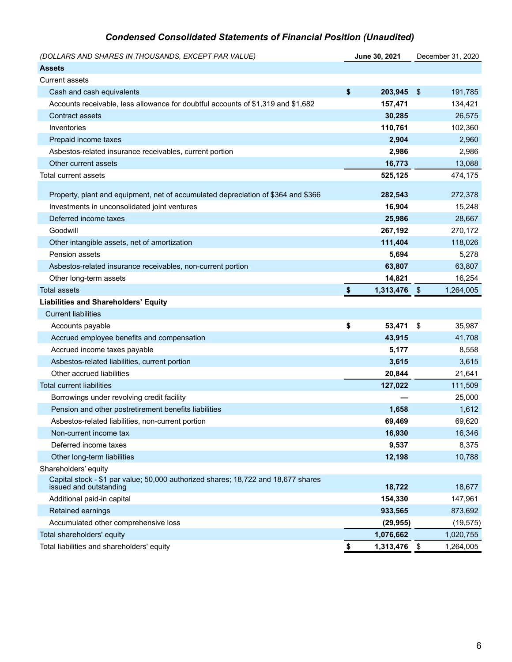# *Condensed Consolidated Statements of Financial Position (Unaudited)*

| (DOLLARS AND SHARES IN THOUSANDS, EXCEPT PAR VALUE)                                                         |            | June 30, 2021 | December 31, 2020 |           |  |
|-------------------------------------------------------------------------------------------------------------|------------|---------------|-------------------|-----------|--|
| <b>Assets</b>                                                                                               |            |               |                   |           |  |
| <b>Current assets</b>                                                                                       |            |               |                   |           |  |
| Cash and cash equivalents                                                                                   | \$         | 203,945       | $\frac{1}{2}$     | 191,785   |  |
| Accounts receivable, less allowance for doubtful accounts of \$1,319 and \$1,682                            |            | 157,471       |                   | 134,421   |  |
| Contract assets                                                                                             |            | 30,285        |                   | 26,575    |  |
| Inventories                                                                                                 |            | 110,761       |                   | 102,360   |  |
| Prepaid income taxes                                                                                        |            | 2,904         |                   | 2,960     |  |
| Asbestos-related insurance receivables, current portion                                                     |            | 2,986         |                   | 2,986     |  |
| Other current assets                                                                                        |            | 16,773        |                   | 13,088    |  |
| Total current assets                                                                                        |            | 525,125       |                   | 474,175   |  |
|                                                                                                             |            |               |                   |           |  |
| Property, plant and equipment, net of accumulated depreciation of \$364 and \$366                           |            | 282,543       |                   | 272,378   |  |
| Investments in unconsolidated joint ventures                                                                |            | 16,904        |                   | 15,248    |  |
| Deferred income taxes                                                                                       |            | 25,986        |                   | 28,667    |  |
| Goodwill                                                                                                    |            | 267,192       |                   | 270,172   |  |
| Other intangible assets, net of amortization                                                                |            | 111,404       |                   | 118,026   |  |
| Pension assets                                                                                              |            | 5,694         |                   | 5,278     |  |
| Asbestos-related insurance receivables, non-current portion                                                 |            | 63,807        |                   | 63,807    |  |
| Other long-term assets                                                                                      |            | 14,821        |                   | 16,254    |  |
| <b>Total assets</b>                                                                                         | $\pmb{\$}$ | 1,313,476     | $\sqrt[6]{3}$     | 1,264,005 |  |
| <b>Liabilities and Shareholders' Equity</b>                                                                 |            |               |                   |           |  |
| <b>Current liabilities</b>                                                                                  |            |               |                   |           |  |
| Accounts payable                                                                                            | \$         | 53,471        | - \$              | 35,987    |  |
| Accrued employee benefits and compensation                                                                  |            | 43,915        |                   | 41,708    |  |
| Accrued income taxes payable                                                                                |            | 5,177         |                   | 8,558     |  |
| Asbestos-related liabilities, current portion                                                               |            | 3,615         |                   | 3,615     |  |
| Other accrued liabilities                                                                                   |            | 20,844        |                   | 21,641    |  |
| <b>Total current liabilities</b>                                                                            |            | 127,022       |                   | 111,509   |  |
| Borrowings under revolving credit facility                                                                  |            |               |                   | 25,000    |  |
| Pension and other postretirement benefits liabilities                                                       |            | 1,658         |                   | 1,612     |  |
| Asbestos-related liabilities, non-current portion                                                           |            | 69,469        |                   | 69,620    |  |
| Non-current income tax                                                                                      |            | 16,930        |                   | 16,346    |  |
| Deferred income taxes                                                                                       |            | 9,537         |                   | 8,375     |  |
| Other long-term liabilities                                                                                 |            | 12,198        |                   | 10,788    |  |
| Shareholders' equity                                                                                        |            |               |                   |           |  |
| Capital stock - \$1 par value; 50,000 authorized shares; 18,722 and 18,677 shares<br>issued and outstanding |            | 18,722        |                   | 18,677    |  |
| Additional paid-in capital                                                                                  |            | 154,330       |                   | 147,961   |  |
| Retained earnings                                                                                           |            | 933,565       |                   | 873,692   |  |
| Accumulated other comprehensive loss                                                                        |            | (29, 955)     |                   | (19, 575) |  |
| Total shareholders' equity                                                                                  |            | 1,076,662     |                   | 1,020,755 |  |
| Total liabilities and shareholders' equity                                                                  | \$         | 1,313,476     | \$                | 1,264,005 |  |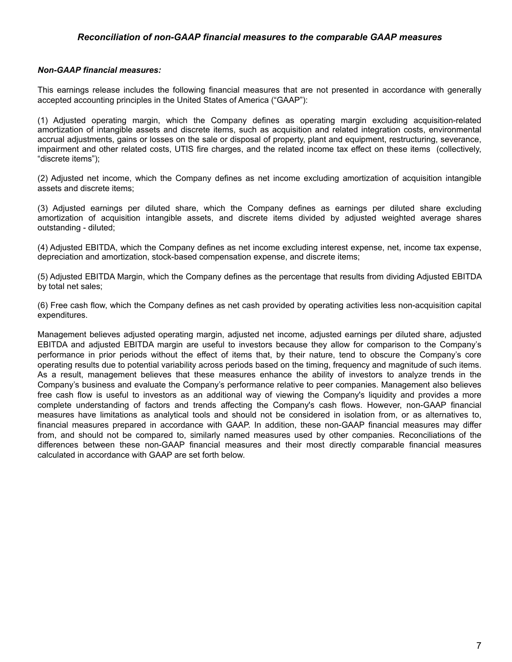#### *Reconciliation of non-GAAP financial measures to the comparable GAAP measures*

#### *Non-GAAP financial measures:*

This earnings release includes the following financial measures that are not presented in accordance with generally accepted accounting principles in the United States of America ("GAAP"):

(1) Adjusted operating margin, which the Company defines as operating margin excluding acquisition-related amortization of intangible assets and discrete items, such as acquisition and related integration costs, environmental accrual adjustments, gains or losses on the sale or disposal of property, plant and equipment, restructuring, severance, impairment and other related costs, UTIS fire charges, and the related income tax effect on these items (collectively, "discrete items");

(2) Adjusted net income, which the Company defines as net income excluding amortization of acquisition intangible assets and discrete items;

(3) Adjusted earnings per diluted share, which the Company defines as earnings per diluted share excluding amortization of acquisition intangible assets, and discrete items divided by adjusted weighted average shares outstanding - diluted;

(4) Adjusted EBITDA, which the Company defines as net income excluding interest expense, net, income tax expense, depreciation and amortization, stock-based compensation expense, and discrete items;

(5) Adjusted EBITDA Margin, which the Company defines as the percentage that results from dividing Adjusted EBITDA by total net sales;

(6) Free cash flow, which the Company defines as net cash provided by operating activities less non-acquisition capital expenditures.

Management believes adjusted operating margin, adjusted net income, adjusted earnings per diluted share, adjusted EBITDA and adjusted EBITDA margin are useful to investors because they allow for comparison to the Company's performance in prior periods without the effect of items that, by their nature, tend to obscure the Company's core operating results due to potential variability across periods based on the timing, frequency and magnitude of such items. As a result, management believes that these measures enhance the ability of investors to analyze trends in the Company's business and evaluate the Company's performance relative to peer companies. Management also believes free cash flow is useful to investors as an additional way of viewing the Company's liquidity and provides a more complete understanding of factors and trends affecting the Company's cash flows. However, non-GAAP financial measures have limitations as analytical tools and should not be considered in isolation from, or as alternatives to, financial measures prepared in accordance with GAAP. In addition, these non-GAAP financial measures may differ from, and should not be compared to, similarly named measures used by other companies. Reconciliations of the differences between these non-GAAP financial measures and their most directly comparable financial measures calculated in accordance with GAAP are set forth below.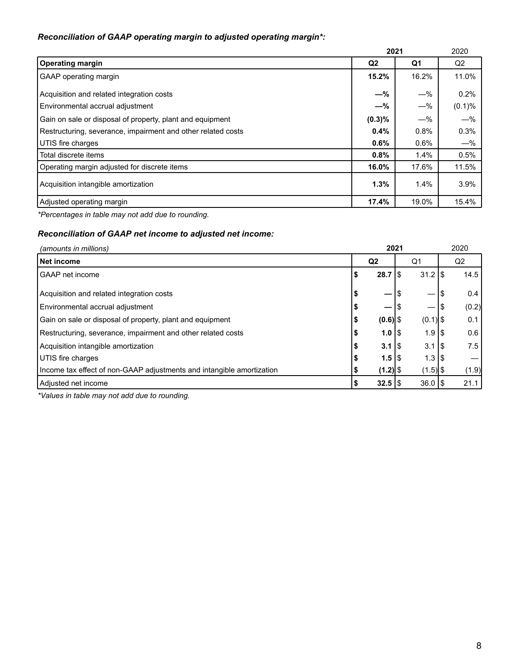## *Reconciliation of GAAP operating margin to adjusted operating margin\*:*

|                                                              | 2021           | 2020  |                |
|--------------------------------------------------------------|----------------|-------|----------------|
| <b>Operating margin</b>                                      | Q <sub>2</sub> | Q1    | Q <sub>2</sub> |
| GAAP operating margin                                        | 15.2%          | 16.2% | 11.0%          |
| Acquisition and related integration costs                    | $-\%$          | $-\%$ | 0.2%           |
| Environmental accrual adjustment                             | $-\%$          | $-\%$ | $(0.1)\%$      |
| Gain on sale or disposal of property, plant and equipment    | $(0.3)\%$      | $-\%$ | $-\%$          |
| Restructuring, severance, impairment and other related costs | 0.4%           | 0.8%  | 0.3%           |
| UTIS fire charges                                            | $0.6\%$        | 0.6%  | $-\%$          |
| Total discrete items                                         | 0.8%           | 1.4%  | 0.5%           |
| Operating margin adjusted for discrete items                 | 16.0%          | 17.6% | 11.5%          |
| Acquisition intangible amortization                          | 1.3%           | 1.4%  | 3.9%           |
| Adjusted operating margin                                    | 17.4%          | 19.0% | 15.4%          |

*\*Percentages in table may not add due to rounding.*

## *Reconciliation of GAAP net income to adjusted net income:*

| (amounts in millions)                                                 |   | 2021           |                      | 2020        |
|-----------------------------------------------------------------------|---|----------------|----------------------|-------------|
| Net income                                                            |   | Q <sub>2</sub> | Q <sub>1</sub>       | Q2          |
| GAAP net income                                                       | S | 28.7           | $31.2$ S<br>1\$      | 14.5        |
| Acquisition and related integration costs                             |   | —              | \$                   | 0.4<br>\$   |
| Environmental accrual adjustment                                      |   |                | I\$                  | (0.2)<br>\$ |
| Gain on sale or disposal of property, plant and equipment             |   | $(0.6)$ \$     | $(0.1)$ \$           | 0.1         |
| Restructuring, severance, impairment and other related costs          |   | $1.0$   \$     | $1.9$ $\sqrt{3}$     | 0.6         |
| Acquisition intangible amortization                                   |   | $3.1$ S        | $3.1$ S              | 7.5         |
| UTIS fire charges                                                     |   | $1.5$   \$     | $1.3$ S              |             |
| Income tax effect of non-GAAP adjustments and intangible amortization |   | $(1.2)$ \$     | $(1.5)$ \$           | (1.9)       |
| Adjusted net income                                                   |   | $32.5$   \$    | $36.0$ $\frac{1}{3}$ | 21.1        |

*\*Values in table may not add due to rounding.*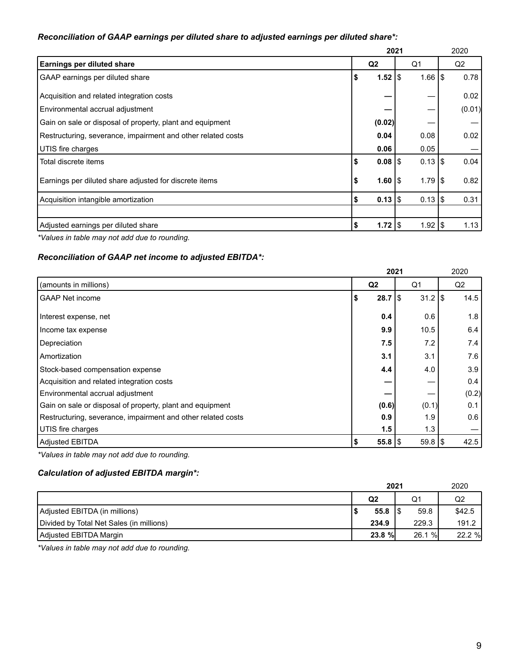## *Reconciliation of GAAP earnings per diluted share to adjusted earnings per diluted share\*:*

|                                                              | 2021 |                      | 2020                 |     |                |
|--------------------------------------------------------------|------|----------------------|----------------------|-----|----------------|
| Earnings per diluted share                                   |      | Q <sub>2</sub>       | Q1                   |     | Q <sub>2</sub> |
| <b>GAAP</b> earnings per diluted share                       | \$   | $1.52$ $\frac{1}{3}$ | $1.66$ $\frac{1}{3}$ |     | 0.78           |
| Acquisition and related integration costs                    |      |                      |                      |     | 0.02           |
| Environmental accrual adjustment                             |      |                      |                      |     | (0.01)         |
| Gain on sale or disposal of property, plant and equipment    |      | (0.02)               |                      |     |                |
| Restructuring, severance, impairment and other related costs |      | 0.04                 | 0.08                 |     | 0.02           |
| UTIS fire charges                                            |      | 0.06                 | 0.05                 |     |                |
| Total discrete items                                         | \$   | $0.08$   \$          | $0.13$ \\$           |     | 0.04           |
| Earnings per diluted share adjusted for discrete items       | \$   | 1.601                | $1.79$ IS            |     | 0.82           |
| Acquisition intangible amortization                          | S    | $0.13$ \\$           | $0.13$ \\$           |     | 0.31           |
|                                                              |      |                      |                      |     |                |
| Adjusted earnings per diluted share                          | \$   | $1.72$   \$          | 1.92                 | 1\$ | 1.13           |

*\*Values in table may not add due to rounding.*

## *Reconciliation of GAAP net income to adjusted EBITDA\*:*

|                                                              |                | 2021                 | 2020  |
|--------------------------------------------------------------|----------------|----------------------|-------|
| (amounts in millions)                                        | Q <sub>2</sub> | Q1                   | Q2    |
| <b>GAAP Net income</b>                                       | 28.7<br>\$     | $31.2$ \\$<br>\$     | 14.5  |
| Interest expense, net                                        | 0.4            | 0.6                  | 1.8   |
| Income tax expense                                           | 9.9            | 10.5                 | 6.4   |
| Depreciation                                                 | 7.5            | 7.2                  | 7.4   |
| Amortization                                                 | 3.1            | 3.1                  | 7.6   |
| Stock-based compensation expense                             | 4.4            | 4.0                  | 3.9   |
| Acquisition and related integration costs                    |                |                      | 0.4   |
| Environmental accrual adjustment                             |                |                      | (0.2) |
| Gain on sale or disposal of property, plant and equipment    | (0.6)          | (0.1)                | 0.1   |
| Restructuring, severance, impairment and other related costs | 0.9            | 1.9                  | 0.6   |
| UTIS fire charges                                            | 1.5            | 1.3                  |       |
| Adjusted EBITDA                                              | $55.8$   \$    | $59.8$ $\frac{1}{3}$ | 42.5  |

*\*Values in table may not add due to rounding.*

## *Calculation of adjusted EBITDA margin\*:*

|                                          | 2021              | 2020   |        |  |
|------------------------------------------|-------------------|--------|--------|--|
|                                          | Q <sub>2</sub>    | Q1     | Q2     |  |
| Adjusted EBITDA (in millions)            | $55.8$ $\sqrt{3}$ | 59.8   | \$42.5 |  |
| Divided by Total Net Sales (in millions) | 234.9             | 229.3  | 191.2  |  |
| Adjusted EBITDA Margin                   | 23.8 %            | 26.1 % | 22.2 % |  |

*\*Values in table may not add due to rounding.*